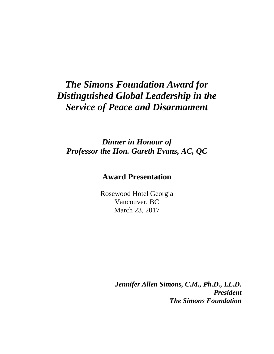## *The Simons Foundation Award for Distinguished Global Leadership in the Service of Peace and Disarmament*

*Dinner in Honour of Professor the Hon. Gareth Evans, AC, QC*

## **Award Presentation**

Rosewood Hotel Georgia Vancouver, BC March 23, 2017

> *Jennifer Allen Simons, C.M., Ph.D., LL.D. President The Simons Foundation*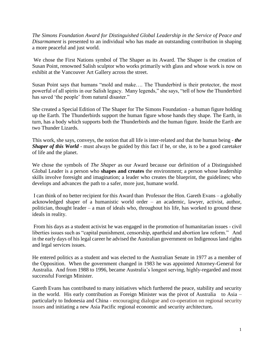*The Simons Foundation Award for Distinguished Global Leadership in the Service of Peace and Disarmament* is presented to an individual who has made an outstanding contribution in shaping a more peaceful and just world.

We chose the First Nations symbol of The Shaper as its Award. The Shaper is the creation of Susan Point, renowned Salish sculptor who works primarily with glass and whose work is now on exhibit at the Vancouver Art Gallery across the street.

Susan Point says that humans "mold and make…. The Thunderbird is their protector, the most powerful of all spirits in our Salish legacy. Many legends," she says, "tell of how the Thunderbird has saved 'the people' from natural disaster."

She created a Special Edition of The Shaper for The Simons Foundation - a human figure holding up the Earth. The Thunderbirds support the human figure whose hands they shape. The Earth, in turn, has a body which supports both the Thunderbirds and the human figure. Inside the Earth are two Thunder Lizards.

This work, she says, conveys, the notion that all life is inter-related and that the human being - *the Shaper of this World* - must always be guided by this fact if he, or she, is to be a good caretaker of life and the planet.

We chose the symbols of *The Shaper* as our Award because our definition of a Distinguished Global Leader is a person who **shapes and creates** the environment; a person whose leadership skills involve foresight and imagination; a leader who creates the blueprint, the guidelines; who develops and advances the path to a safer, more just, humane world.

I can think of no better recipient for this Award than Professor the Hon. Gareth Evans – a globally acknowledged shaper of a humanistic world order – an academic, lawyer, activist, author, politician, thought leader – a man of ideals who, throughout his life, has worked to ground these ideals in reality.

From his days as a student activist he was engaged in the promotion of humanitarian issues - civil liberties issues such as "capital punishment, censorship, apartheid and abortion law reform." And in the early days of his legal career he advised the Australian government on Indigenous land rights and legal services issues.

He entered politics as a student and was elected to the Australian Senate in 1977 as a member of the Opposition. When the government changed in 1983 he was appointed Attorney-General for Australia. And from 1988 to 1996, became Australia's longest serving, highly-regarded and most successful Foreign Minister.

Gareth Evans has contributed to many initiatives which furthered the peace, stability and security in the world. His early contribution as Foreign Minister was the pivot of Australia to Asia – particularly to Indonesia and China - encouraging dialogue and co-operation on regional security issues and initiating a new Asia Pacific regional economic and security architecture*.*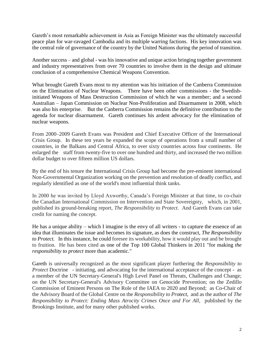Gareth's most remarkable achievement in Asia as Foreign Minister was the ultimately successful peace plan for war-ravaged Cambodia and its multiple warring factions. His key innovation was the central role of governance of the country by the United Nations during the period of transition.

Another success – and global - was his innovative and unique action bringing together government and industry representatives from over 70 countries to involve them in the design and ultimate conclusion of a comprehensive Chemical Weapons Convention.

What brought Gareth Evans most to my attention was his initiation of the Canberra Commission on the Elimination of Nuclear Weapons. There have been other commissions - the Swedishinitiated Weapons of Mass Destruction Commission of which he was a member; and a second Australian – Japan Commission on Nuclear Non-Proliferation and Disarmament in 2008, which was also his enterprise. But the Canberra Commission remains the definitive contribution to the agenda for nuclear disarmament. Gareth continues his ardent advocacy for the elimination of nuclear weapons.

From 2000–2009 Gareth Evans was President and Chief Executive Officer of the International Crisis Group. In these ten years he expanded the scope of operations from a small number of countries, in the Balkans and Central Africa, to over sixty countries across four continents. He enlarged the staff from twenty-five to over one hundred and thirty, and increased the two million dollar budget to over fifteen million US dollars.

By the end of his tenure the International Crisis Group had become the pre-eminent international Non-Governmental Organization working on the prevention and resolution of deadly conflict, and regularly identified as one of the world's most influential think tanks.

In 2000 he was invited by Lloyd Axworthy, Canada's Foreign Minister at that time, to co-chair the Canadian International Commission on Intervention and State Sovereignty, which, in 2001, published its ground-breaking report, *The Responsibility to Protect*. And Gareth Evans can take credit for naming the concept.

He has a unique ability – which I imagine is the envy of all writers - to capture the essence of an idea that illuminates the issue and becomes its signature, as does the construct, *The Responsibility to Protect.* In this instance, he could foresee its workability, how it would play out and be brought to fruition. He has been cited as one of the Top 100 Global Thinkers in 2011 "for making *the responsibility to protect* more than academic."

Gareth is universally recognized as the most significant player furthering the *Responsibility to Protect* Doctrine - initiating, and advocating for the international acceptance of the concept - as a member of the UN Secretary-General's High Level Panel on Threats, Challenges and Change; on the UN Secretary-General's Advisory Committee on Genocide Prevention; on the Zedillo Commission of Eminent Persons on The Role of the IAEA to 2020 and Beyond; as Co-Chair of the Advisory Board of the Global Centre on the *Responsibility to Protect*, and as the author of *The Responsibility to Protect: Ending Mass Atrocity Crimes Once and For All*, published by the Brookings Institute, and for many other published works.